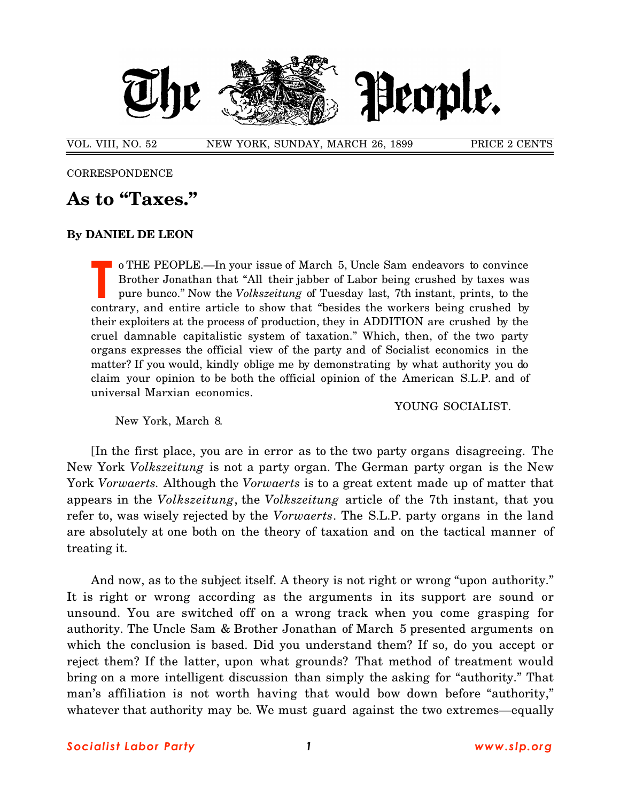

VOL. VIII, NO. 52 NEW YORK, SUNDAY, MARCH 26, 1899 PRICE 2 CENTS

**CORRESPONDENCE** 

## **As to "Taxes."**

## **By DANIEL DE LEON**

o THE PEOPLE.—In your issue of March 5, Uncle Sam endeavors to convince Brother Jonathan that "All their jabber of Labor being crushed by taxes was pure bunco." Now the *Volkszeitung* of Tuesday last, 7th instant, prints, to the o THE PEOPLE.—In your issue of March 5, Uncle Sam endeavors to convince<br>Brother Jonathan that "All their jabber of Labor being crushed by taxes was<br>pure bunco." Now the *Volkszeitung* of Tuesday last, 7th instant, prints, their exploiters at the process of production, they in ADDITION are crushed by the cruel damnable capitalistic system of taxation." Which, then, of the two party organs expresses the official view of the party and of Socialist economics in the matter? If you would, kindly oblige me by demonstrating by what authority you do claim your opinion to be both the official opinion of the American S.L.P. and of universal Marxian economics.

YOUNG SOCIALIST.

New York, March 8.

[In the first place, you are in error as to the two party organs disagreeing. The New York *Volkszeitung* is not a party organ. The German party organ is the New York *Vorwaerts.* Although the *Vorwaerts* is to a great extent made up of matter that appears in the *Volkszeitung*, the *Volkszeitung* article of the 7th instant, that you refer to, was wisely rejected by the *Vorwaerts*. The S.L.P. party organs in the land are absolutely at one both on the theory of taxation and on the tactical manner of treating it.

And now, as to the subject itself. A theory is not right or wrong "upon authority." It is right or wrong according as the arguments in its support are sound or unsound. You are switched off on a wrong track when you come grasping for authority. The Uncle Sam & Brother Jonathan of March 5 presented arguments on which the conclusion is based. Did you understand them? If so, do you accept or reject them? If the latter, upon what grounds? That method of treatment would bring on a more intelligent discussion than simply the asking for "authority." That man's affiliation is not worth having that would bow down before "authority," whatever that authority may be. We must guard against the two extremes—equally

*Social i st Labor Party 1 www.slp.org*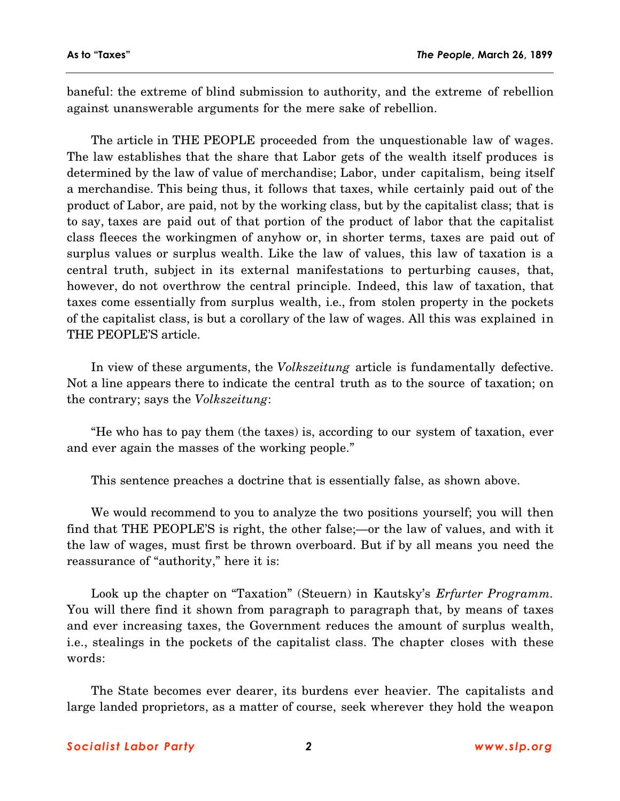baneful: the extreme of blind submission to authority, and the extreme of rebellion against unanswerable arguments for the mere sake of rebellion.

The article in THE PEOPLE proceeded from the unquestionable law of wages. The law establishes that the share that Labor gets of the wealth itself produces is determined by the law of value of merchandise; Labor, under capitalism, being itself a merchandise. This being thus, it follows that taxes, while certainly paid out of the product of Labor, are paid, not by the working class, but by the capitalist class; that is to say, taxes are paid out of that portion of the product of labor that the capitalist class fleeces the workingmen of anyhow or, in shorter terms, taxes are paid out of surplus values or surplus wealth. Like the law of values, this law of taxation is a central truth, subject in its external manifestations to perturbing causes, that, however, do not overthrow the central principle. Indeed, this law of taxation, that taxes come essentially from surplus wealth, i.e., from stolen property in the pockets of the capitalist class, is but a corollary of the law of wages. All this was explained in THE PEOPLE'S article.

In view of these arguments, the *Volkszeitung* article is fundamentally defective. Not a line appears there to indicate the central truth as to the source of taxation; on the contrary; says the *Volkszeitung*:

"He who has to pay them (the taxes) is, according to our system of taxation, ever and ever again the masses of the working people."

This sentence preaches a doctrine that is essentially false, as shown above.

We would recommend to you to analyze the two positions yourself; you will then find that THE PEOPLE'S is right, the other false;—or the law of values, and with it the law of wages, must first be thrown overboard. But if by all means you need the reassurance of "authority," here it is:

Look up the chapter on "Taxation" (Steuern) in Kautsky's *Erfurter Programm.* You will there find it shown from paragraph to paragraph that, by means of taxes and ever increasing taxes, the Government reduces the amount of surplus wealth, i.e., stealings in the pockets of the capitalist class. The chapter closes with these words:

The State becomes ever dearer, its burdens ever heavier. The capitalists and large landed proprietors, as a matter of course, seek wherever they hold the weapon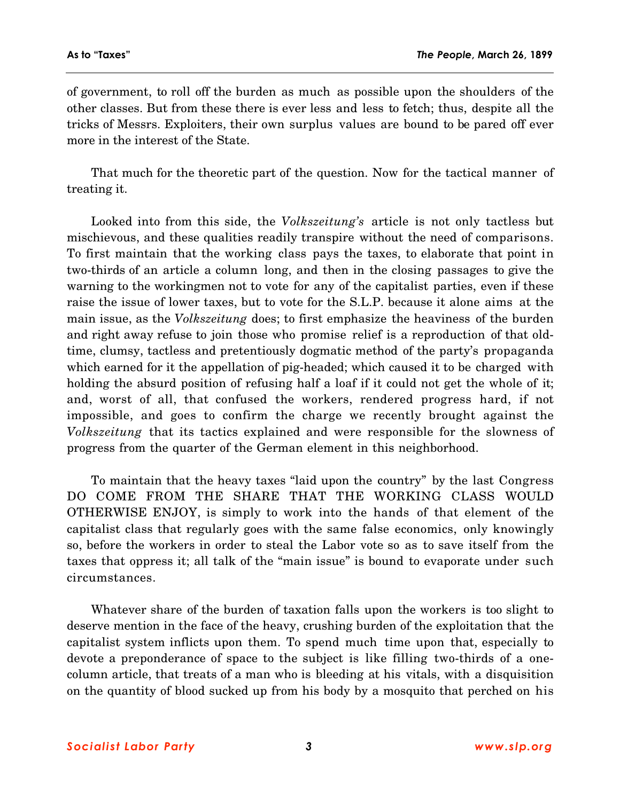of government, to roll off the burden as much as possible upon the shoulders of the other classes. But from these there is ever less and less to fetch; thus, despite all the tricks of Messrs. Exploiters, their own surplus values are bound to be pared off ever more in the interest of the State.

That much for the theoretic part of the question. Now for the tactical manner of treating it.

Looked into from this side, the *Volkszeitung's* article is not only tactless but mischievous, and these qualities readily transpire without the need of comparisons. To first maintain that the working class pays the taxes, to elaborate that point in two-thirds of an article a column long, and then in the closing passages to give the warning to the workingmen not to vote for any of the capitalist parties, even if these raise the issue of lower taxes, but to vote for the S.L.P. because it alone aims at the main issue, as the *Volkszeitung* does; to first emphasize the heaviness of the burden and right away refuse to join those who promise relief is a reproduction of that oldtime, clumsy, tactless and pretentiously dogmatic method of the party's propaganda which earned for it the appellation of pig-headed; which caused it to be charged with holding the absurd position of refusing half a loaf if it could not get the whole of it; and, worst of all, that confused the workers, rendered progress hard, if not impossible, and goes to confirm the charge we recently brought against the *Volkszeitung* that its tactics explained and were responsible for the slowness of progress from the quarter of the German element in this neighborhood.

To maintain that the heavy taxes "laid upon the country" by the last Congress DO COME FROM THE SHARE THAT THE WORKING CLASS WOULD OTHERWISE ENJOY, is simply to work into the hands of that element of the capitalist class that regularly goes with the same false economics, only knowingly so, before the workers in order to steal the Labor vote so as to save itself from the taxes that oppress it; all talk of the "main issue" is bound to evaporate under such circumstances.

Whatever share of the burden of taxation falls upon the workers is too slight to deserve mention in the face of the heavy, crushing burden of the exploitation that the capitalist system inflicts upon them. To spend much time upon that, especially to devote a preponderance of space to the subject is like filling two-thirds of a onecolumn article, that treats of a man who is bleeding at his vitals, with a disquisition on the quantity of blood sucked up from his body by a mosquito that perched on his